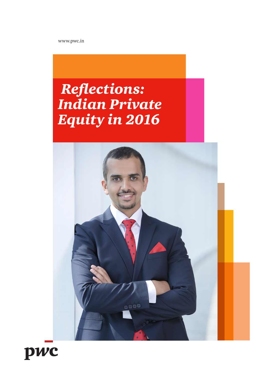www.pwc.in

## *Reflections: Indian Private Equity in 2016*



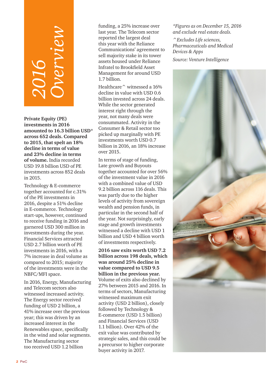# *2016 Overview*

**Private Equity (PE) investments in 2016 amounted to 16.3 billion USD\* across 652 deals. Compared to 2015, that spelt an 18% decline in terms of value and 23% decline in terms of volume.** India recorded USD 19.8 billion USD of PE investments across 852 deals in 2015.

Technology & E-commerce together accounted for c.31% of the PE investments in 2016, despite a 51% decline in E-commerce. Technology start-ups, however, continued to receive funding in 2016 and garnered USD 300 million in investments during the year. Financial Services attracted USD 2.7 billion worth of PE investments in 2016, with a 7% increase in deal volume as compared to 2015; majority of the investments were in the NBFC/MFI space.

In 2016, Energy, Manufacturing and Telecom sectors also witnessed increased activity. The Energy sector received funding of USD 2 billion, a 41% increase over the previous year; this was driven by an increased interest in the Renewables space, specifically in the wind and solar segments. The Manufacturing sector too received USD 1.2 billion

funding, a 25% increase over last year. The Telecom sector reported the largest deal this year with the Reliance Communications' agreement to sell majority stake in its tower assets housed under Reliance Infratel to Brookfield Asset Management for around USD 1.7 billion.

Healthcare^ witnessed a 16% decline in value with USD 0.6 billion invested across 24 deals. While the sector generated interest right through the year, not many deals were consummated. Activity in the Consumer & Retail sector too picked up marginally with PE investments worth USD 0.7 billion in 2016, an 18% increase over 2015.

In terms of stage of funding, Late growth and Buyouts together accounted for over 56% of the investment value in 2016 with a combined value of USD 9.2 billion across 116 deals. This was partly due to the higher levels of activity from sovereign wealth and pension funds, in particular in the second half of the year. Not surprisingly, early stage and growth investments witnessed a decline with USD 1 billion and USD 4 billion worth of investments respectively.

**2016 saw exits worth USD 7.2 billion across 198 deals, which was around 25% decline in value compared to USD 9.5 billion in the previous year.** Volume of exits also declined by 27% between 2015 and 2016. In terms of sectors, Manufacturing witnessed maximum exit activity (USD 2 billion), closely followed by Technology & E-commerce (USD 1.5 billion) and Financial Services (USD 1.1 billion). Over 42% of the exit value was contributed by strategic sales, and this could be a precursor to higher corporate buyer activity in 2017.

*\*Figures as on December 15, 2016 and exclude real estate deals.* 

*^Excludes Life sciences, Pharmaceuticals and Medical Devices & Apps*

*Source: Venture Intelligence*

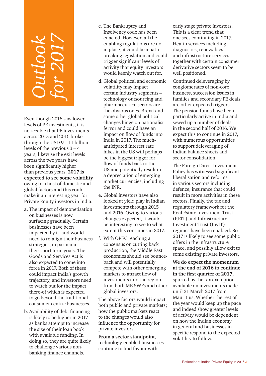# *Outlook for 2017*

Even though 2016 saw lower levels of PE investments, it is noticeable that PE investments across 2015 and 2016 broke through the USD 9 – 11 billion levels of the previous 3 – 4 years; likewise the exit levels across the two years have been significantly higher than previous years. **2017 is expected to see some volatility** owing to a host of domestic and global factors and this could make it an interesting year for Private Equity investors in India.

- a. The impact of demonetisation on businesses is now surfacing gradually. Certain businesses have been impacted by it, and would need to re-align their business strategies, in particular their short term goals. The Goods and Services Act is also expected to come into force in 2017. Both of these could impact India's growth trajectory, and investors need to watch out for the impact there-of which is expected to go beyond the traditional consumer centric businesses.
- b. Availability of debt financing is likely to be higher in 2017 as banks attempt to increase the size of their loan book with available funding. In doing so, they are quite likely to challenge various nonbanking finance channels.
- c. The Bankruptcy and Insolvency code has been enacted. However, all the enabling regulations are not in place; it could be a pathbreaking legislation and could trigger significant levels of activity that equity investors would keenly watch out for.
- d. Global political and economic volatility may impact certain industry segments – technology outsourcing and pharmaceutical sectors are the obvious ones. Brexit and some other global political changes hinge on nationalist fervor and could have an impact on flow of funds into India in 2017. The muchanticipated interest rate hikes in the US will perhaps be the biggest trigger for flow of funds back to the US and potentially result in a depreciation of emerging market currencies, including the INR.
- e. Global investors have also looked at yield play in Indian investments through 2015 and 2016. Owing to various changes expected, it would be interesting to see to what extent this continues in 2017.
- f. With OPEC reaching a consensus on cutting back production, the Middle East economies should see bounceback and will potentially compete with other emerging markets to attract flow of investments into the region from both ME SWFs and other global investors.

The above factors would impact both public and private markets; how the public markets react to the changes would also influence the opportunity for private investors.

**From a sector standpoint**, technology-enabled businesses continue to find favour with

early stage private investors. This is a clear trend that one sees continuing in 2017. Health services including diagnostics, renewables and infrastructure services together with certain consumer derivative sectors seem to be well positioned.

Continued deleveraging by conglomerates of non-core business, succession issues in families and secondary PE deals are other expected triggers. The pension funds have been particularly active in India and sewed up a number of deals in the second half of 2016. We expect this to continue in 2017, with numerous opportunities to support deleveraging of Indian balance sheets and sector consolidation.

The Foreign Direct Investment Policy has witnessed significant liberalisation and reforms in various sectors including defence, insurance that could result in more activities in these sectors. Finally, the tax and regulatory framework for the Real Estate Investment Trust (REIT) and Infrastructure Investment Trust (InvIT) regimes have been enabled. So 2017 is likely to see some public offers in the infrastructure space, and possibly allow exit to some existing private investors.

**We do expect the momentum at the end of 2016 to continue in the first quarter of 2017**, spurred by the tax exemption available on investments made until 31 March 2017 from Mauritius. Whether the rest of the year would keep up the pace and indeed show greater levels of activity would be dependent on how the Indian economy in general and businesses in specific respond to the expected volatility to follow.